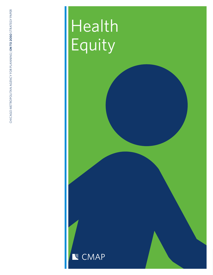# Health Equity

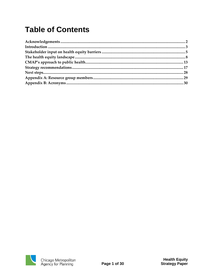# **Table of Contents**

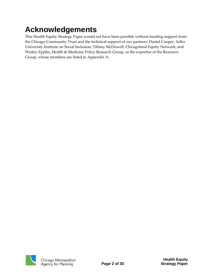# <span id="page-2-0"></span>**Acknowledgements**

This Health Equity Strategy Paper would not have been possible without funding support from the Chicago Community Trust and the technical support of our partners: Daniel Cooper, Adler University Institute on Social Inclusion; Tiffany McDowell, Chicagoland Equity Network; and Wesley Epplin, Health & Medicine Policy Research Group, or the expertise of the Resource Group, whose members are listed in Appendix A.

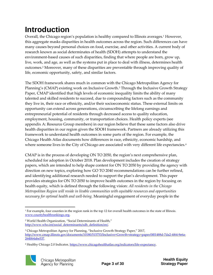# <span id="page-3-0"></span>**Introduction**

Overall, the Chicago region's population is healthy compared to Illinois averages. <sup>1</sup> However, this aggregate masks disparities in health outcomes across the region. Such differences can have many causes beyond personal choices on food, exercise, and other activities. A current body of research known as social determinates of health (SDOH) attempts to understand the environment-based causes of such disparities, finding that where people are born, grow up, live, work, and age, as well as the systems put in place to deal with illness, determines health outcomes.<sup>2</sup> Moreover, many of these disparities are preventable through improving quality of life, economic opportunity, safety, and similar factors.

The SDOH framework shares much in common with the Chicago Metropolitan Agency for Planning's (CMAP) existing work on Inclusive Growth.<sup>3</sup> Through the Inclusive Growth Strategy Paper, CMAP identified that high levels of economic inequality limits the ability of many talented and skilled residents to succeed, due to compounding factors such as the community they live in, their race or ethnicity, and/or their socioeconomic status. These external limits on opportunity can extend across generations, circumscribing the lifelong earnings and entrepreneurial potential of residents through decreased access to quality education, employment, housing, community, or transportation choices. Health policy experts (see appendix A: Resource Group members) in our region believe that these same factors also drive health disparities in our region given the SDOH framework. Partners are already utilizing this framework to understand health outcomes in some parts of the region. For example, the Chicago Health Atlas documents how differences in race, ethnicity, economic hardship, and where someone lives in the City of Chicago are associated with very different life expectancies.<sup>4</sup>

CMAP is in the process of developing ON TO 2050, the region's next comprehensive plan, scheduled for adoption in October 2018. Plan development includes the creation of strategy papers, which are intended to help shape content for ON TO 2050 by providing the agency with direction on new topics, exploring how GO TO 2040 recommendations can be further refined, and identifying additional research needed to support the plan's development. This paper provides strategies for ON TO 2050 to improve health outcomes in the region by focusing on health equity, which is defined through the following vision: *All residents in the Chicago Metropolitan Region will reside in livable communities with equitable resources and opportunities necessary for optimal health and well-being.* Meaningful engagement of everyday people in the

<sup>4</sup> Healthy Chicago 2.0 Indicator[, https://www.chicagohealthatlas.org/indicators/life-expectancy.](https://www.chicagohealthatlas.org/indicators/life-expectancy)



<sup>1</sup> <sup>1</sup> For example, four counties in the region rank in the top 12 for overall health outcomes in the state of Illinois. [www.countyhealthrankings.org.](file://///cmap.local/shared/Library/edocuments/Communications/Templates/www.countyhealthrankings.org)

<sup>2</sup> World Health Organization, "Social Determinants of Health," [http://www.who.int/social\\_determinants/sdh\\_definition/en/.](http://www.who.int/social_determinants/sdh_definition/en/)

<sup>&</sup>lt;sup>3</sup> Chicago Metropolitan Agency for Planning, "Inclusive Growth Strategy Paper," 2017, [http://www.cmap.illinois.gov/documents/10180/515753/Inclusive+Growth+strategy+paper/0f01488d-7da2-4f64-9e6a-](http://www.cmap.illinois.gov/documents/10180/515753/Inclusive+Growth+strategy+paper/0f01488d-7da2-4f64-9e6a-264bb4abe537)[264bb4abe537.](http://www.cmap.illinois.gov/documents/10180/515753/Inclusive+Growth+strategy+paper/0f01488d-7da2-4f64-9e6a-264bb4abe537)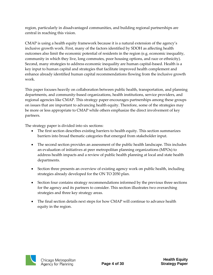region, particularly in disadvantaged communities, and building regional partnerships are central in reaching this vision.

CMAP is using a health equity framework because it is a natural extension of the agency's inclusive growth work. First, many of the factors identified by SDOH as affecting health outcomes also limit the economic potential of residents in the region (e.g. economic inequality, community in which they live, long commutes, poor housing options, and race or ethnicity). Second, many strategies to address economic inequality are human capital-based. Health is a key input to human capital and strategies that facilitate improved health complement and enhance already identified human capital recommendations flowing from the inclusive growth work.

This paper focuses heavily on collaboration between public health, transportation, and planning departments, and community-based organizations, health institutions, service providers, and regional agencies like CMAP. This strategy paper encourages partnerships among these groups on issues that are important to advancing health equity. Therefore, some of the strategies may be more or less appropriate to CMAP while others emphasize the direct involvement of key partners.

The strategy paper is divided into six sections:

- The first section describes existing barriers to health equity. This section summarizes barriers into broad thematic categories that emerged from stakeholder input.
- The second section provides an assessment of the public health landscape. This includes an evaluation of initiatives at peer metropolitan planning organizations (MPOs) to address health impacts and a review of public health planning at local and state health departments.
- Section three presents an overview of existing agency work on public health, including strategies already developed for the ON TO 2050 plan.
- Section four contains strategy recommendations informed by the previous three sections for the agency and its partners to consider. This section illustrates two overarching strategies and three key strategy areas.
- The final section details next steps for how CMAP will continue to advance health equity in the region.

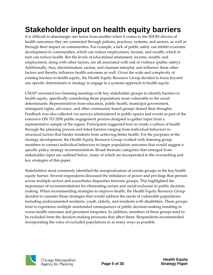# <span id="page-5-0"></span>**Stakeholder input on health equity barriers**

It is difficult to disentangle one factor from another when it comes to the SDOH drivers of health outcomes; they are connected through policies, practices, systems, and sectors, as well as through their impact on communities. For example, a lack of public safety can inhibit economic development in communities, which can reduce employment, income, and wealth, which in turn can reduce health. But the levels of educational attainment, income, wealth, and employment, along with other factors, are all associated with risk of violence (public safety). Additionally, bias, discrimination, racism, and classism interplay and influence these other factors and thereby influence health outcomes as well. Given the scale and complexity of existing barriers to health equity, the Health Equity Resource Group decided to focus beyond one specific determinant or strategy to engage in a systems approach to health equity.

CMAP convened two listening meetings with key stakeholder groups to identify barriers to health equity, specifically considering those populations most vulnerable to the social determinants. Representatives from education, public health, municipal government, immigrant rights, advocacy, and other community-based groups shared their thoughts. Feedback was also collected via surveys administered in public spaces and events as part of the extensive ON TO 2050 public engagement process designed to gather input from a representative sample of the region. Participants suggested how to create a culture of health through the planning process and listed barriers ranging from individual behaviors to structural factors that hinder residents from achieving better health. For the purposes of the strategy development, the Health Equity Resource Group worked with listening group members to connect individual behaviors to larger population outcomes that would suggest a specific policy strategy recommendation. Broad thematic categories that emerged from stakeholder input are outlined below, many of which are incorporated in the overarching and key strategies of this paper.

Stakeholders most commonly identified the marginalization of certain groups as the key health equity barrier. Several respondents discussed the imbalance of power and privilege that persists across multiple sectors and exacerbates disparities between groups. This highlighted the importance of recommendations for eliminating racism and social exclusion in public decisionmaking. When recommending strategies to improve health, the Health Equity Resource Group decided to consider those strategies that would address the needs of vulnerable populations including undocumented residents, youth, elderly, and residents with disabilities. These groups tend to experience multiple unintended consequences of public decision-making resulting in worse health outcomes and persistent inequities. In addition, members of these groups tend to be excluded from the decision-making processes that affect them. Respondents recommended incorporating the voice of excluded populations in as many ways as possible.

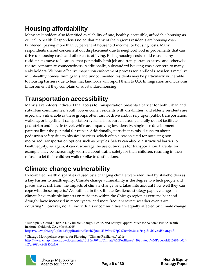### **Housing affordability**

Many stakeholders also identified availability of safe, healthy, accessible, affordable housing as critical to health. Respondents noted that many of the region's residents are housing costburdened, paying more than 30 percent of household income for housing costs. Many respondents shared concerns about displacement due to neighborhood improvements that can drive up housing costs and other costs of living. Rising housing costs could cause many residents to move to locations that potentially limit job and transportation access and otherwise reduce community connectedness. Additionally, substandard housing was a concern to many stakeholders. Without effective inspection enforcement process for landlords, residents may live in unhealthy homes. Immigrants and undocumented residents may be particularly vulnerable to housing barriers due to fear that landlords will report them to U.S. Immigration and Customs Enforcement if they complain of substandard housing.

### **Transportation accessibility**

Many stakeholders indicated that access to transportation presents a barrier for both urban and suburban communities. Youth, low-income, residents with disabilities, and elderly residents are especially vulnerable as these groups often cannot drive and/or rely upon public transportation, walking, or bicycling. Transportation systems in suburban areas generally do not facilitate pedestrian and bicycle travel, while accompanying low-density, single-use development patterns limit the potential for transit. Additionally, participants raised concern about pedestrian safety due to physical barriers, which often a reason cited for not using nonmotorized transportation options such as bicycles. Safety can also be a structural barrier to health equity, as, again, it can discourage the use of bicycles for transportation. Parents, for example, may be increasingly worried about traffic safety for their children, resulting in their refusal to let their children walk or bike to destinations.

### **Climate change vulnerability**

Exacerbated health disparities caused by a changing climate were identified by stakeholders as a key barrier to health equity. Climate change vulnerability is the degree to which people and places are at risk from the impacts of climate change, and takes into account how well they can cope with those impacts.<sup>5</sup> As outlined in the Climate Resilience strategy paper, changes in climate have multiple impacts on residents within the Chicago region as extreme heat and drought have increased in recent years, and more frequent severe weather events are occurring.<sup>6</sup> However, not all individuals or communities are equally affected by climate change.

<sup>6</sup> Chicago Metropolitan Agency for Planning, "Climate Resilience," 2016, [http://www.cmap.illinois.gov/documents/10180/470714/Climate%20Resilience%20Strategy%20Paper/dd610883-d00f-](http://www.cmap.illinois.gov/documents/10180/470714/Climate%20Resilience%20Strategy%20Paper/dd610883-d00f-407d-808b-484f9800a3f6)[407d-808b-484f9800a3f6](http://www.cmap.illinois.gov/documents/10180/470714/Climate%20Resilience%20Strategy%20Paper/dd610883-d00f-407d-808b-484f9800a3f6)*.*



<sup>1</sup> <sup>5</sup> Rudolph L, Gould S, Berko J., "Climate Change, Health, and Equity: Opportunities for Action," Public Health Institute, Oakland, CA., March 2015,

[https://www.phi.org/uploads/application/files/h7fjouo1i38v3tu427p9s9kcmhs3oxsi7tsg1fovh3yesd5hxu.pdf.](https://www.phi.org/uploads/application/files/h7fjouo1i38v3tu427p9s9kcmhs3oxsi7tsg1fovh3yesd5hxu.pdf)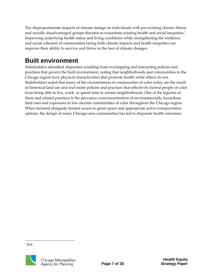The disproportionate impacts of climate change on individuals with pre-existing chronic illness and socially disadvantaged groups threaten to exacerbate existing health and social inequities.<sup>7</sup> Improving underlying health status and living conditions while strengthening the resilience and social cohesion of communities facing both climate impacts and health inequities can improve their ability to survive and thrive in the face of climate changes.

### **Built environment**

Stakeholders identified disparities resulting from overlapping and interacting policies and practices that govern the built environment, noting that neighborhoods and communities in the Chicago region have physical characteristics that promote health while others do not. Stakeholders noted that many of the circumstances in communities of color today are the result of historical land use and real estate policies and practices that effectively barred people of color from being able to live, work, or spend time in certain neighborhoods. One of the legacies of these and related practices is the pervasive overconcentration of environmentally hazardous land uses and exposures in low-income communities of color throughout the Chicago region. When factored alongside limited access to green space and appropriate active transportation options, the design of many Chicago-area communities has led to disparate health outcomes.

1 7 Ibid.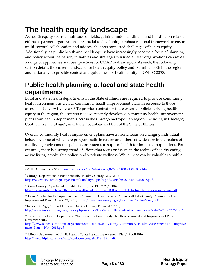# <span id="page-8-0"></span>**The health equity landscape**

As health equity spans a multitude of fields, gaining understanding of and building on related efforts at partner organizations are crucial to developing a robust regional framework to ensure multi-sectoral collaboration and address the interconnected challenges of health equity. Additionally, as public health and health equity have increasingly become a focus of planning and policy across the nation, initiatives and strategies pursued at peer organizations can reveal a range of approaches and best practices for CMAP to draw upon. As such, the following section details the current landscape for health equity policy and planning, both in the region and nationally, to provide context and guidelines for health equity in ON TO 2050.

### **Public health planning at local and state health departments**

Local and state health departments in the State of Illinois are required to produce community health assessments as well as community health improvement plans in response to those assessments every five years.<sup>8</sup> To provide context for these external policies driving health equity in the region, this section reviews recently developed community health improvement plans from health departments across the Chicago metropolitan region, including in Chicago<sup>9</sup>;  ${\rm Cook^{10}}$ , Lake<sup>11</sup>, DuPage<sup>12</sup>, and Kane<sup>13</sup> counties; and that of the State of Illinois<sup>14</sup>.

Overall, community health improvement plans have a strong focus on changing individual behavior, some of which are programmatic in nature and others of which are in the realms of modifying environments, policies, or systems to support health for impacted populations. For example, there is a strong trend of efforts that focus on issues in the realms of healthy eating, active living, smoke-free policy, and worksite wellness. While these can be valuable to public

<sup>&</sup>lt;sup>14</sup> Illinois Department of Public Health, "State Health Improvement Plan," April 2016, [http://www.idph.state.il.us/ship/icc/documents/SHIP-FINAL.pdf.](http://www.idph.state.il.us/ship/icc/documents/SHIP-FINAL.pdf)



<sup>1</sup> 8 77 Ill. Admin Code 600 [ftp://www.ilga.gov/jcar/admincode/077/077006000D04000R.html.](ftp://www.ilga.gov/jcar/admincode/077/077006000D04000R.html)

<sup>&</sup>lt;sup>9</sup> Chicago Department of Public Health," Healthy Chicago 2.0," 2016, [https://www.cityofchicago.org/content/dam/city/depts/cdph/CDPH/HC2.0Plan\\_3252016.pdf.](https://www.cityofchicago.org/content/dam/city/depts/cdph/CDPH/HC2.0Plan_3252016.pdf)

<sup>10</sup> Cook County Department of Public Health, "WePlan2020," 2016, [http://cookcountypublichealth.org/files/pdf/weplan/weplan2020-report-111416-final-lr-for-viewing-online.pdf.](http://cookcountypublichealth.org/files/pdf/weplan/weplan2020-report-111416-final-lr-for-viewing-online.pdf)

<sup>&</sup>lt;sup>11</sup> Lake County Health Department and Community Health Center, "Live Well Lake County Community Health Improvement Plan," August 24, 2016[, https://www.lakecountyil.gov/DocumentCenter/View/14110.](https://www.lakecountyil.gov/DocumentCenter/View/14110)

<sup>12</sup>Impact DuPage, "Impact DuPage: Driving DuPage Forward," 2013, [http://www.impactdupage.org/index.php?module=Tiles&controller=index&action=display&id=35279722287218775.](http://www.impactdupage.org/index.php?module=Tiles&controller=index&action=display&id=35279722287218775)

<sup>&</sup>lt;sup>13</sup> Kane County Health Department, "Kane County Community Health Assessment and Improvement Plan," November 2016,

[http://www.kanehealthcounts.org/content/sites/kane/Kane\\_County\\_Community\\_Health\\_Assessment\\_and\\_Improve](http://www.kanehealthcounts.org/content/sites/kane/Kane_County_Community_Health_Assessment_and_Improvement_Plan_-_Nov_2016.pdf) ment Plan - Nov 2016.pdf.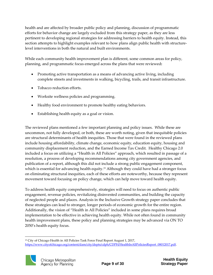health and are affected by broader public policy and planning, discussion of programmatic efforts for behavior change are largely excluded from this strategy paper, as they are less pertinent to developing regional strategies for addressing barriers to health equity. Instead, this section attempts to highlight examples relevant to how plans align public health with structurelevel interventions in both the natural and built environments.

While each community health improvement plan is different, some common areas for policy, planning, and programmatic focus emerged across the plans that were reviewed**:**

- Promoting active transportation as a means of advancing active living, including complete streets and investments in walking, bicycling, trails, and transit infrastructure.
- Tobacco reduction efforts.
- Worksite wellness policies and programming.
- Healthy food environment to promote healthy eating behaviors.
- Establishing health equity as a goal or vision.

The reviewed plans mentioned a few important planning and policy issues. While these are uncommon, not fully developed, or both, these are worth noting, given that inequitable policies are structural determinants of health inequities. Those that were found in the reviewed plans include housing affordability, climate change, economic equity, education equity, housing and community displacement reduction, and the Earned Income Tax Credit. Healthy Chicago 2.0 included a focus on utilizing a "Health in All Policies" approach, which resulted in passage of a resolution, a process of developing recommendations among city government agencies, and publication of a report, although this did not include a strong public engagement component, which is essential for advancing health equity.<sup>15</sup> Although they could have had a stronger focus on eliminating structural inequities, each of these efforts are noteworthy, because they represent movement toward focusing on policy change, which can help move toward health equity.

To address health equity comprehensively, strategies will need to focus on authentic public engagement, revenue policies, revitalizing disinvested communities, and building the capacity of neglected people and places. Analysis in the Inclusive Growth strategy paper concludes that these strategies can lead to stronger, longer periods of economic growth for the entire region. Additionally, the vision of "Health in All Policies" included in some plans requires broad implementation to be effective in achieving health equity. While not often found in community health improvement plans, these policy and planning strategies may be advanced via ON TO 2050's health equity focus.

<sup>&</sup>lt;sup>15</sup> City of Chicago Health in All Policies Task Force Final Report August 1, 2017, [https://www.cityofchicago.org/content/dam/city/depts/cdph/CDPH/HealthInAllPoliciesReport\\_08012017.pdf.](https://www.cityofchicago.org/content/dam/city/depts/cdph/CDPH/HealthInAllPoliciesReport_08012017.pdf)



1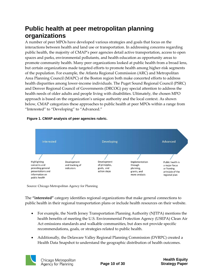### **Public health at peer metropolitan planning organizations**

A number of peer MPOs have developed various strategies and goals that focus on the interactions between health and land use or transportation. In addressing concerns regarding public health, the majority of CMAP's peer agencies detail active transportation, access to open spaces and parks, environmental pollutants, and health education as opportunity areas to promote community health. Many peer organizations looked at public health from a broad lens, but certain organizations made targeted efforts to promote health among higher-risk segments of the population. For example, the Atlanta Regional Commission (ARC) and Metropolitan Area Planning Council (MAPC) of the Boston region both make concerted efforts to address health disparities among lower-income individuals. The Puget Sound Regional Council (PSRC) and Denver Regional Council of Governments (DRCOG) pay special attention to address the health needs of older adults and people living with disabilities. Ultimately, the chosen MPO approach is based on the organization's unique authority and the local context. As shown below, CMAP categorizes these approaches to public health at peer MPOs within a range from "Interested" to "Developing" to "Advanced."

#### **Figure 1. CMAP analysis of peer agencies rubric.**



Source: Chicago Metropolitan Agency for Planning

The **"interested"** category identifies regional organizations that make general connections to public health in their regional transportation plans or include health resources on their website.

- For example, the North Jersey Transportation Planning Authority (NJTPA) mentions the health benefits of meeting the U.S. Environmental Protection Agency (USEPA) Clean Air Act emissions standards and walkable communities, but does not provide specific recommendations, goals, or strategies related to public health.
- Additionally, the Delaware Valley Regional Planning Commission (DVRPC) created a Health Data Snapshot to understand the geographic distribution of health outcomes.

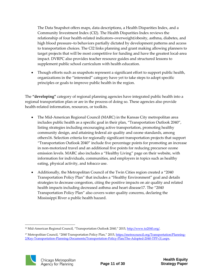The Data Snapshot offers maps, data descriptions, a Health Disparities Index, and a Community Investment Index (CI2). The Health Disparities Index reviews the relationship of four health-related indicators–overweight/obesity, asthma, diabetes, and high blood pressure–to behaviors partially dictated by development patterns and access to transportation choices. The CI2 links planning and grant making allowing planners to target projects that will be most competitive for funding and have the greatest local-area impact. DVRPC also provides teacher resource guides and structured lessons to supplement public school curriculum with health education.

 Though efforts such as snapshots represent a significant effort to support public health, organizations in the "interested" category have yet to take steps to adopt specific principles or goals to improve public health in the region.

The **"developing"** category of regional planning agencies have integrated public health into a regional transportation plan or are in the process of doing so. These agencies also provide health-related information, resources, or toolkits.

- The Mid-American Regional Council (MARC) in the Kansas City metropolitan area includes public health as a specific goal in their plan, "Transportation Outlook 2040", listing strategies including encouraging active transportation, promoting healthy community design, and attaining federal air quality and ozone standards, among others16. Selection criteria for regionally significant transportation projects that support "Transportation Outlook 2040" include five percentage points for promoting an increase in non-motorized travel and an additional five points for reducing precursor ozone emission levels. MARC also includes a "Healthy Living" page on their website, with information for individuals, communities, and employers in topics such as healthy eating, physical activity, and tobacco use.
- Additionally, the Metropolitan Council of the Twin Cities region created a "2040 Transportation Policy Plan" that includes a "Healthy Environment" goal and details strategies to decrease congestion, citing the positive impacts on air quality and related health impacts including decreased asthma and heart disease17. The "2040 Transportation Policy Plan" also covers water quality concerns, declaring the Mississippi River a public health hazard.

<sup>&</sup>lt;sup>17</sup> Metropolitan Council, "2040 Transportation Policy Plan," 2015, [https://metrocouncil.org/Transportation/Planning-](https://metrocouncil.org/Transportation/Planning-2/Key-Transportation-Planning-Documents/Transportation-Policy-Plan/The-Adopted-2040-TPP-(1).aspx)[2/Key-Transportation-Planning-Documents/Transportation-Policy-Plan/The-Adopted-2040-TPP-\(1\).aspx.](https://metrocouncil.org/Transportation/Planning-2/Key-Transportation-Planning-Documents/Transportation-Policy-Plan/The-Adopted-2040-TPP-(1).aspx)



 $\overline{a}$ 

<sup>&</sup>lt;sup>16</sup> Mid-American Regional Council, "Transportation Outlook 2040," 2015, [http://www.to2040.org/.](http://www.to2040.org/)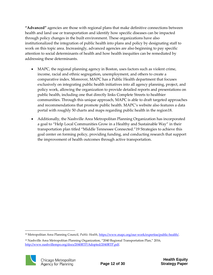**"Advanced"** agencies are those with regional plans that make definitive connections between health and land use or transportation and identify how specific diseases can be impacted through policy changes in the built environment. These organizations have also institutionalized the integration of public health into plans and policy by designating staff to work on this topic area. Increasingly, advanced agencies are also beginning to pay specific attention to social determinants of health and how health inequities can be remediated by addressing these determinants.

- MAPC, the regional planning agency in Boston, uses factors such as violent crime, income, racial and ethnic segregation, unemployment, and others to create a comparative index. Moreover, MAPC has a Public Health department that focuses exclusively on integrating public health initiatives into all agency planning, project, and policy work, allowing the organization to provide detailed reports and presentations on public health, including one that directly links Complete Streets to healthier communities. Through this unique approach, MAPC is able to draft targeted approaches and recommendations that promote public health. MAPC's website also features a data portal with roughly 50 charts and maps regarding public health in the region18.
- Additionally, the Nashville Area Metropolitan Planning Organization has incorporated a goal to "Help Local Communities Grow in a Healthy and Sustainable Way" in their transportation plan titled "Middle Tennessee Connected."19 Strategies to achieve this goal center on forming policy, providing funding, and conducting research that support the improvement of health outcomes through active transportation.

<sup>&</sup>lt;sup>19</sup> Nashville Area Metropolitan Planning Organization, "2040 Regional Transportation Plan," 2016, [http://www.nashvillempo.org/docs/2040RTP/Adopted/2040RTP.pdf.](http://www.nashvillempo.org/docs/2040RTP/Adopted/2040RTP.pdf)



1

<sup>18</sup> Metropolitan Area Planning Council, *Public Health*[, https://www.mapc.org/our-work/expertise/public-health/.](https://www.mapc.org/our-work/expertise/public-health/)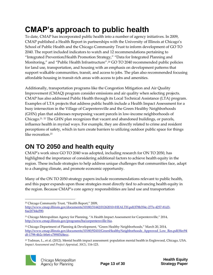# <span id="page-13-0"></span>**CMAP's approach to public health**

To date, CMAP has incorporated public health into a number of agency initiatives. In 2009, CMAP published a Health Report in partnerships with the University of Illinois at Chicago's School of Public Health and the Chicago Community Trust to inform development of GO TO 2040. The report included indicators to watch and 12 recommendations pertaining to "Integrated Prevention/Health Promotion Strategy," "Data for Integrated Planning and Monitoring," and "Public Health Infrastructure".<sup>20</sup> GO TO 2040 recommended public policies for land use, transportation, and housing with an emphasis on development patterns that support walkable communities, transit, and access to jobs. The plan also recommended focusing affordable housing in transit-rich areas with access to jobs and amenities.

Additionally, transportation programs like the Congestion Mitigation and Air Quality Improvement (CMAQ) program consider emissions and air quality when selecting projects. CMAP has also addressed Public Health through its Local Technical Assistance (LTA) program. Examples of LTA projects that address public health include a Health Impact Assessment for a busy intersection in the Village of Carpentersville and the Green Healthy Neighborhoods (GHN) plan that addresses repurposing vacant parcels in low-income neighborhoods of Chicago.21, <sup>22</sup> The GHN plan recognizes that vacant and abandoned buildings, or parcels, influence health in myriad ways. For example, they are directly related to crime and resident perceptions of safety, which in turn create barriers to utilizing outdoor public space for things like recreation.<sup>23</sup>

### **ON TO 2050 and health equity**

CMAP's work since GO TO 2040 was adopted, including research for ON TO 2050, has highlighted the importance of considering additional factors to achieve health equity in the region. These include strategies to help address unique challenges that communities face, adapt to a changing climate, and promote economic opportunity.

Many of the ON TO 2050 strategy papers include recommendations relevant to public health, and this paper expands upon those strategies most directly tied to advancing health equity in the region. Because CMAP's core agency responsibilities are land use and transportation

<sup>&</sup>lt;sup>23</sup> Todman, L., et al. (2012). Mental health impact assessment: population mental health in Englewood, Chicago, USA. *Impact Assessment and Project Appraisal, 30(2)*, 116-123.



 $\overline{a}$ <sup>20</sup> Chicago Community Trust, "Health Report," 2009,

[http://www.cmap.illinois.gov/documents/10180/31442/01262010+HEALTH.pdf/f78b354c-277e-4257-81d3-](http://www.cmap.illinois.gov/documents/10180/31442/01262010+HEALTH.pdf/f78b354c-277e-4257-81d3-8ae2f744a590) [8ae2f744a590.](http://www.cmap.illinois.gov/documents/10180/31442/01262010+HEALTH.pdf/f78b354c-277e-4257-81d3-8ae2f744a590)

<sup>&</sup>lt;sup>21</sup> Chicago Metropolitan Agency for Planning, "A Health Impact Assessment for Carpentersville," 2014, [http://www.cmap.illinois.gov/programs/lta/carpentersville-hia.](http://www.cmap.illinois.gov/programs/lta/carpentersville-hia)

<sup>&</sup>lt;sup>22</sup> Chicago Department of Planning & Development, "Green Healthy Neighborhoods," March 20, 2014, [http://www.cmap.illinois.gov/documents/10180/92410/GreenHealthyNeighborhoods\\_Approved\\_Low\\_Res.pdf/ffec94](http://www.cmap.illinois.gov/documents/10180/92410/GreenHealthyNeighborhoods_Approved_Low_Res.pdf/ffec94df-1798-4b2c-b0e6-c789ff5d4ecc) [df-1798-4b2c-b0e6-c789ff5d4ecc.](http://www.cmap.illinois.gov/documents/10180/92410/GreenHealthyNeighborhoods_Approved_Low_Res.pdf/ffec94df-1798-4b2c-b0e6-c789ff5d4ecc)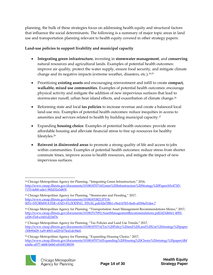planning, the bulk of these strategies focus on addressing health equity and structural factors that influence the social determinants. The following is a summary of major topic areas in land use and transportation planning relevant to health equity covered in other strategy papers:

#### **Land-use policies to support livability and municipal capacity**

- **Integrating green infrastructure**, investing in **stormwater management**, and **conserving** natural resources and agricultural lands. Examples of potential health outcomes: improve air quality, protect the water supply, ensure food security, and mitigate climate change and its negative impacts (extreme weather, disasters, etc.).<sup>24,25</sup>
- Prioritizing **existing assets** and encouraging reinvestment and infill to create **compact, walkable, mixed use communities**. Examples of potential health outcomes: encourage physical activity and mitigate the addition of new impervious surfaces that lead to stormwater runoff, urban heat island effects, and exacerbation of climate change.<sup>26</sup>
- Reforming state and local **tax policies** to increase revenue and create a balanced local land-use mix. Examples of potential health outcomes: reduce inequities in access to amenities and services related to health by building municipal capacity.<sup>27</sup>
- Expanding **housing choice**. Examples of potential health outcomes: provide more affordable housing and alleviate financial stress to free up resources for healthy lifestyles.<sup>28</sup>
- **Reinvest in disinvested areas** to promote a strong quality of life and access to jobs within communities. Examples of potential health outcomes: reduce stress from shorter commute times, improve access to health resources, and mitigate the impact of new impervious surfaces.

<sup>&</sup>lt;sup>28</sup> Chicago Metropolitan Agency for Planning, "Expanding Housing Choice," 2017, [http://www.cmap.illinois.gov/documents/10180/470714/Expanding%20Housing%20Choice%20strategy%20paper/dbf](http://www.cmap.illinois.gov/documents/10180/470714/Expanding%20Housing%20Choice%20strategy%20paper/dbfeddfe-a977-4408-b6b0-e81f0f158039) [eddfe-a977-4408-b6b0-e81f0f158039.](http://www.cmap.illinois.gov/documents/10180/470714/Expanding%20Housing%20Choice%20strategy%20paper/dbfeddfe-a977-4408-b6b0-e81f0f158039)



1

<sup>&</sup>lt;sup>24</sup> Chicago Metropolitan Agency for Planning, "Integrating Green Infrastructure," 2016, [http://www.cmap.illinois.gov/documents/10180/470714/Green%20Infrastructure%20Strategy%20Paper/65c473f3-](http://www.cmap.illinois.gov/documents/10180/470714/Green%20Infrastructure%20Strategy%20Paper/65c473f3-7153-4d60-ade1-982d32a3d65f) [7153-4d60-ade1-982d32a3d65f.](http://www.cmap.illinois.gov/documents/10180/470714/Green%20Infrastructure%20Strategy%20Paper/65c473f3-7153-4d60-ade1-982d32a3d65f)

<sup>25</sup> Chicago Metropolitan Agency for Planning, "Stormwater and Flooding," 2017, [http://www.cmap.illinois.gov/documents/10180/653821/FY18-](http://www.cmap.illinois.gov/documents/10180/653821/FY18-0051+STORMWATER+AND+FLOODING_FINAL.pdf/42e7f8b1-c9ed-b7b5-0eeb-a03f4a51dee.7) [0051+STORMWATER+AND+FLOODING\\_FINAL.pdf/42e7f8b1-c9ed-b7b5-0eeb-a03f4a51dee.7](http://www.cmap.illinois.gov/documents/10180/653821/FY18-0051+STORMWATER+AND+FLOODING_FINAL.pdf/42e7f8b1-c9ed-b7b5-0eeb-a03f4a51dee.7)

<sup>&</sup>lt;sup>26</sup> Chicago Metropolitan Agency for Planning, "Transportation Asset Management Recommendations Memo," 2017, [http://www.cmap.illinois.gov/documents/10180/517091/AssetManagementRecommendations.pdf/d23d60e1-4092](http://www.cmap.illinois.gov/documents/10180/517091/AssetManagementRecommendations.pdf/d23d60e1-4092-cd58-f7e8-e1601d234f76) [cd58-f7e8-e1601d234f76.](http://www.cmap.illinois.gov/documents/10180/517091/AssetManagementRecommendations.pdf/d23d60e1-4092-cd58-f7e8-e1601d234f76)

<sup>27</sup> Chicago Metropolitan Agency for Planning, "Tax Policies and Land Use Trends," 2017, [http://www.cmap.illinois.gov/documents/10180/470714/Tax%20Policy%20and%20Land%20Use%20strategy%20paper](http://www.cmap.illinois.gov/documents/10180/470714/Tax%20Policy%20and%20Land%20Use%20strategy%20paper/30b90429-1af9-4903-ad29-b75ed1dc94e0) [/30b90429-1af9-4903-ad29-b75ed1dc94e0.](http://www.cmap.illinois.gov/documents/10180/470714/Tax%20Policy%20and%20Land%20Use%20strategy%20paper/30b90429-1af9-4903-ad29-b75ed1dc94e0)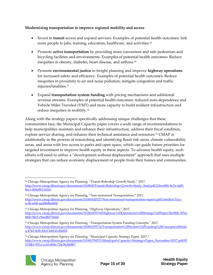#### **Modernizing transportation to improve regional mobility and access**

- Invest in **transit** access and expand services. Examples of potential health outcomes: link more people to jobs, training, education, healthcare, and activities.<sup>29</sup>
- Promote **active transportation** by providing more convenient and safe pedestrian and bicycling facilities and environments. Examples of potential health outcomes: Reduce inequities in obesity, diabetes, heart disease, and asthma.<sup>30</sup>
- Promote **environmental justice** in freight planning and improve **highway operations** for increased safety and efficiency. Examples of potential health outcomes: Reduce inequities in proximity to air and noise pollution; mitigate congestion and traffic injuries/fatalities.<sup>31</sup>
- Expand **transportation system funding** with pricing mechanisms and additional revenue streams. Examples of potential health outcomes: reduced auto-dependence and Vehicle Miles Traveled (VMT) and more capacity to build resilient infrastructure and reduce inequities in mobility.<sup>32</sup>

Along with the strategy papers specifically addressing unique challenges that these communities face, the Municipal Capacity paper covers a wide range of recommendations to help municipalities maintain and enhance their infrastructure, address their fiscal condition, explore service sharing, and enhance their technical assistance and resources.<sup>33</sup> CMAP is additionally in the process of researching and identifying flood risk areas, climate vulnerability areas, and areas with low access to parks and open space, which can guide future priorities for targeted investment to improve health equity in these aspects. To advance health equity, such efforts will need to utilize a "development without displacement" approach that uses multiple strategies that can reduce economic displacement of people from their homes and communities.

<sup>&</sup>lt;sup>33</sup> Chicago Metropolitan Agency for Planning, "Municipal Capacity Strategy Paper, 2017," [http://www.cmap.illinois.gov/documents/10180/794571/Municipal+Capacity+Strategy+Paper\\_November+2017.pdf/92](http://www.cmap.illinois.gov/documents/10180/794571/Municipal+Capacity+Strategy+Paper_November+2017.pdf/923744b1-951a-ce16-609e-724c9e260fb7) [3744b1-951a-ce16-609e-724c9e260fb7](http://www.cmap.illinois.gov/documents/10180/794571/Municipal+Capacity+Strategy+Paper_November+2017.pdf/923744b1-951a-ce16-609e-724c9e260fb7)



1

<sup>&</sup>lt;sup>29</sup> Chicago Metropolitan Agency for Planning, "Transit Ridership Growth Study," 2017, [http://www.cmap.illinois.gov/documents/10180/0/Transit+Ridership+Growth+Study\\_final.pdf/21bca990-9e7a-4af9-](http://www.cmap.illinois.gov/documents/10180/0/Transit+Ridership+Growth+Study_final.pdf/21bca990-9e7a-4af9-8ec1-6b8c8b11fd16) [8ec1-6b8c8b11fd16.](http://www.cmap.illinois.gov/documents/10180/0/Transit+Ridership+Growth+Study_final.pdf/21bca990-9e7a-4af9-8ec1-6b8c8b11fd16)

<sup>30</sup> Chicago Metropolitan Agency for Planning, "Non-motorized Transportation," 2017, [http://www.cmap.illinois.gov/documents/10180/620327/Non-motorized+transportation+report.pdf/1efedfc4-51cc](http://www.cmap.illinois.gov/documents/10180/620327/Non-motorized+transportation+report.pdf/1efedfc4-51cc-ec4b-e44f-aad460bef600)[ec4b-e44f-aad460bef600.](http://www.cmap.illinois.gov/documents/10180/620327/Non-motorized+transportation+report.pdf/1efedfc4-51cc-ec4b-e44f-aad460bef600)

<sup>&</sup>lt;sup>31</sup> Chicago Metropolitan Agency for Planning, "Highway Operations," 2017, [http://www.cmap.illinois.gov/documents/10180/470714/Highway%20Operations%20Strategy%20Paper/26cff0fc-876a-](http://www.cmap.illinois.gov/documents/10180/470714/Highway%20Operations%20Strategy%20Paper/26cff0fc-876a-4843-9fe5-c9aedbf73ddd)[4843-9fe5-c9aedbf73ddd.](http://www.cmap.illinois.gov/documents/10180/470714/Highway%20Operations%20Strategy%20Paper/26cff0fc-876a-4843-9fe5-c9aedbf73ddd)

<sup>&</sup>lt;sup>32</sup> Chicago Metropolitan Agency for Planning, "Transportation System Funding Concepts," 2017, [http://www.cmap.illinois.gov/documents/10180/470714/Transportation%20System%20Funding%20Concepts/a40cfa4](http://www.cmap.illinois.gov/documents/10180/470714/Transportation%20System%20Funding%20Concepts/a40cfa4a-4743-4cfb-83c3-44f1d1d0ef02) [a-4743-4cfb-83c3-44f1d1d0ef02.](http://www.cmap.illinois.gov/documents/10180/470714/Transportation%20System%20Funding%20Concepts/a40cfa4a-4743-4cfb-83c3-44f1d1d0ef02)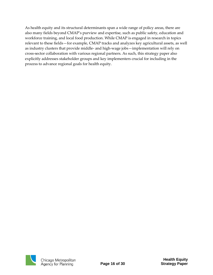As health equity and its structural determinants span a wide range of policy areas, there are also many fields beyond CMAP's purview and expertise, such as public safety, education and workforce training, and local food production. While CMAP is engaged in research in topics relevant to these fields—for example, CMAP tracks and analyzes key agricultural assets, as well as industry clusters that provide middle- and high-wage jobs—implementation will rely on cross-sector collaboration with various regional partners. As such, this strategy paper also explicitly addresses stakeholder groups and key implementers crucial for including in the process to advance regional goals for health equity.

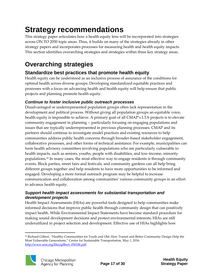## <span id="page-17-0"></span>**Strategy recommendations**

This strategy paper articulates how a health equity lens will be incorporated into strategies across ON TO 2050 topic areas. Thus, it builds on many of the strategies already in other strategy papers and incorporates processes for measuring health and health equity impacts. This section identifies overarching strategies and strategies within three key strategy areas.

### **Overarching strategies**

#### **Standardize best practices that promote health equity**

Health equity can be understood as an inclusive process of assurance of the conditions for optimal health across diverse groups. Developing standardized equitable practices and processes with a focus on advancing health and health equity will help ensure that public projects and planning promote health equity.

#### *Continue to foster inclusive public outreach processes*

Disadvantaged or underrepresented population groups often lack representation in the development and political process. Without giving all population groups an equitable voice, health equity is impossible to achieve. A primary goal of all CMAP's LTA projects is to elevate community engagement in planning -- particularly focusing on engaging populations and issues that are typically underrepresented in previous planning processes. CMAP and its partners should continue to investigate model practices and existing resources to help communities address public health concerns through broader-based stakeholder engagement, collaborative processes, and other forms of technical assistance. For example, municipalities can form health advisory committees involving populations who are particularly vulnerable to health impacts, such as seniors, youths, people with disabilities, and low-income, minority populations.<sup>34</sup> In many cases, the most effective way to engage residents is through community events. Block parties, street fairs and festivals, and community gardens can all help bring different groups together and help residents to have more opportunities to be informed and engaged. Developing a more formal outreach program may be helpful to increase communication and collaboration among communities' various community groups in an effort to advance health equity.

#### *Support health impact assessments for substantial transportation and development projects*

Health Impact Assessments (HIAs) are powerful tools designed to help communities make informed decisions that improve public health through community design that can positively impact health. While Environmental Impact Statements have become standard procedure for making sound development decisions and protect environmental interests, HIAs are still underutilized in project selection and development. Effective use of HIAs highlights how

<sup>1</sup> <sup>34</sup> Richard Gilbert, "Healthy Communities for Youth and Old: How Transit and Better Community Design Help the Most Vulnerable Generations," Centre for Sustainable Transportation, May 1, 2016. [http://www.eesi.org/files/gilbert\\_050106.pdf.](http://www.eesi.org/files/gilbert_050106.pdf)

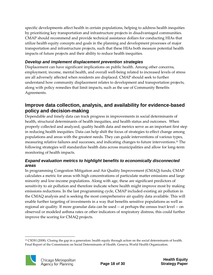specific developments affect health in certain populations, helping to address health inequities by prioritizing key transportation and infrastructure projects in disadvantaged communities. CMAP should recommend and provide technical assistance dollars for conducting HIAs that utilize health equity concepts and goals in the planning and development processes of major transportation and infrastructure projects, such that these HIAs both measure potential health impacts of future projects and their ability to reduce health inequities.

#### *Develop and implement displacement prevention strategies*

Displacement can have significant implications on public health. Among other concerns, employment, income, mental health, and overall well-being related to increased levels of stress are all adversely affected when residents are displaced. CMAP should seek to further understand how community displacement relates to development and transportation projects, along with policy remedies that limit impacts, such as the use of Community Benefits Agreements.

#### **Improve data collection, analysis, and availability for evidence-based policy and decision-making**

Dependable and timely data can track progress in improvements in social determinants of health, structural determinants of health inequities, and health status and outcomes. When properly collected and analyzed, quality health data and metrics serve as an important first step in reducing health inequities. Data can help shift the focus of strategies to effect change among populations and areas with the greatest needs. They can guide interventions of various types, measuring relative failures and successes, and indicating changes to future interventions.<sup>35</sup> The following strategies will standardize health data across municipalities and allow for long-term monitoring of health impacts.

#### *Expand evaluation metrics to highlight benefits to economically disconnected areas*

In programming Congestion Mitigation and Air Quality Improvement (CMAQ) funds, CMAP calculates a metric for areas with high concentrations of particulate matter emissions and large minority and low-income populations. Along with age, these are significant predictors of sensitivity to air pollution and therefore indicate where health might improve most by making emissions reductions. In the last programming cycle, CMAP included existing air pollution in the CMAQ analysis and is seeking the most comprehensive air quality data available. This will enable further targeting of investments in a way that benefits sensitive populations as well as regional air quality. If more granular data can be used -- at perhaps the census tract level -- on observed or modeled asthma rates or other indicators of respiratory distress, this could further improve the scoring for CMAQ projects.

<sup>1</sup> <sup>35</sup> CSDH (2008). Closing the gap in a generation: health equity through action on the social determinants of health. Final Report of the Commission on Social Determinants of Health. Geneva, World Health Organization.

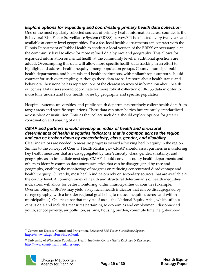#### *Explore options for expanding and coordinating primary health data collection*

One of the most regularly collected sources of primary health information across counties is the Behavioral Risk Factor Surveillance System (BRFSS) survey.<sup>36</sup> It is collected every two years and available at county level geographies. For a fee, local health departments can contract with the Illinois Department of Public Health to conduct a local version of the BRFSS or oversample at the community level to allow for more refined data by race and geography. This allows for expanded information on mental health at the community level, if additional questions are added. Oversampling this data will allow more specific health data tracking in an effort to highlight and address health inequity among population groups. County, municipal public health departments, and hospitals and health institutions, with philanthropic support, should contract for such oversampling. Although these data are self-reports about health status and behaviors, they nonetheless represent one of the clearest sources of information about health outcomes. Data users should coordinate for more robust collection of BRFSS data in order to more fully understand how health varies by geography and specific population.

Hospital systems, universities, and public health departments routinely collect health data from target areas and specific populations. These data can often be rich but are rarely standardized across place or institution. Entities that collect such data should explore options for greater coordination and sharing of data.

#### *CMAP and partners should develop an index of health and structural determinants of health inequities indicators that is common across the region and can be broken down by race/ethnicity, class, gender, and disability*

Clear indicators are needed to measure progress toward achieving health equity in the region. Similar to the concept of County Health Rankings,<sup>37</sup> CMAP should assist partners in monitoring key health measures that are disaggregated by race/ethnicity, class, gender, disability, and geography as an immediate next step. CMAP should convene county health departments and others to identify common data sources/metrics that can be disaggregated by race and geography, enabling the monitoring of progress on reducing concentrated disadvantage and health inequity. Currently, most health indicators rely on secondary sources that are available at the county level. A common index of health and structural determinants of health inequities indicators, will allow for better monitoring within municipalities or counties (Example: Oversampling of BRFSS may yield a key racial health indicator that can be disaggregated by race/geography, with a broader regional goal being to reduce inequities across and within municipalities). One resource that may be of use is the National Equity Atlas, which utilizes census data and includes measures pertaining to economics and employment, disconnected youth, school poverty, air pollution, asthma, housing burden, commute time, neighborhood

<sup>37</sup> University of Wisconsin Population Health Institute, *County Health Rankings & Roadmaps*, [http://www.countyhealthrankings.org/.](http://www.countyhealthrankings.org/)



 $\overline{a}$ 

<sup>36</sup> Centers for Disease Control and Prevention, *Behavioral Risk Factor Surveillance System*, [https://www.cdc.gov/brfss/index.html.](https://www.cdc.gov/brfss/index.html)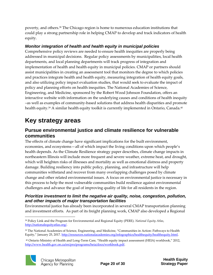poverty, and others.<sup>38</sup> The Chicago region is home to numerous education institutions that could play a strong partnership role in helping CMAP to develop and track indicators of health equity.

#### *Monitor integration of health and health equity in municipal policies*

Comprehensive policy reviews are needed to ensure health inequities are properly being addressed in municipal decisions. Regular policy assessments by municipalities, local health departments, and local planning departments will track progress of integration and implementation of health and health equity in municipal policies. CMAP or partners should assist municipalities in creating an assessment tool that monitors the degree to which policies and practices integrate health and health equity, measuring integration of health equity goals, and also utilizing policy impact evaluation studies, that would seek to evaluate the impact of policy and planning efforts on health inequities. The National Academies of Science, Engineering, and Medicine, sponsored by the Robert Wood Johnson Foundation, offers an interactive website with information on the underlying causes and conditions of health inequity –as well as examples of community-based solutions that address health disparities and promote health equity.<sup>39</sup> A similar health equity toolkit is currently implemented in Ontario, Canada.<sup>40</sup>

### **Key strategy areas**

#### **Pursue environmental justice and climate resilience for vulnerable communities**

The effects of climate change have significant implications for the built environment, economies, and ecosystems—all of which impact the living conditions upon which people's health depends. As the Climate Resilience strategy paper describes, climate change impacts in northeastern Illinois will include more frequent and severe weather, extreme heat, and drought, which will heighten risks of illnesses and mortality as well as emotional distress and property damage. Building resiliency into public policy, planning, and infrastructure will help communities withstand and recover from many overlapping challenges posed by climate change and other related environmental issues. A focus on environmental justice is necessary in this process to help the most vulnerable communities build resilience against environmental challenges and advance the goal of improving quality of life for all residents in the region.

#### *Prioritize investment to limit the negative air quality, noise, congestion, pollution, and other impacts of major transportation facilities*

Environmental justice has already been incorporated in several CMAP transportation planning and investment efforts. As part of its freight planning work, CMAP also developed a Regional

1 <sup>38</sup> Policy Link and the Program for Environmental and Regional Equity (PERE). *National Equity Atlas*, [http://nationalequityatlas.org/.](http://nationalequityatlas.org/)

<sup>40</sup> Ontario Ministry of Health and Long-Term Care, "Health equity impact assessment (HEIA) workbook," 2012, [http://www.health.gov.on.ca/en/pro/programs/heia/docs/workbook.pdf.](http://www.health.gov.on.ca/en/pro/programs/heia/docs/workbook.pdf)



<sup>39</sup> The National Academies of Science, Engineering, and Medicine, "Communities in Action: Pathways to Health Equity," January 25, 2017. [http://resources.nationalacademies.org/infographics/healthequity/healthequity.html.](http://resources.nationalacademies.org/infographics/healthequity/healthequity.html)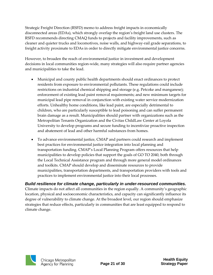Strategic Freight Direction (RSFD) memo to address freight impacts in economically disconnected areas (EDAs), which strongly overlap the region's freight land use clusters. The RSFD recommends directing CMAQ funds to projects and facility improvements, such as cleaner and quieter trucks and locomotives, noise walls, and highway-rail grade separations, to freight activity proximate to EDAs in order to directly mitigate environmental justice concerns.

However, to broaden the reach of environmental justice in investment and development decisions in local communities region-wide, many strategies will also require partner agencies and municipalities to take the lead.

- Municipal and county public health departments should enact ordinances to protect residents from exposure to environmental pollutants. These regulations could include restrictions on industrial chemical shipping and storage (e.g. Petcoke and manganese); enforcement of existing lead paint removal requirements; and new minimum targets for municipal lead pipe removal in conjunction with existing water service modernization efforts. Unhealthy home conditions, like lead paint, are especially detrimental to children, who are particularly susceptible to lead poisoning and can suffer permanent brain damage as a result. Municipalities should partner with organizations such as the Metropolitan Tenants Organization and the Civitas ChildLaw Center at Loyola University to develop programs and secure funding to incentivize proactive inspection and abatement of lead and other harmful substances from homes.
- To advance environmental justice, CMAP and partners could research and implement best practices for environmental justice integration into local planning and transportation funding. CMAP's Local Planning Program offers resources that help municipalities to develop policies that support the goals of GO TO 2040, both through the Local Technical Assistance program and through more general model ordinances and toolkits. CMAP should develop and disseminate resources to provide municipalities, transportation departments, and transportation providers with tools and practices to implement environmental justice into their local processes.

*Build resilience for climate change, particularly in under-resourced communities.* Climate impacts do not affect all communities in the region equally. A community's geographic location, physical and socioeconomic characteristics, and capacity can significantly influence its degree of vulnerability to climate change. At the broadest level, our region should emphasize strategies that reduce effects, particularly in communities that are least equipped to respond to climate change.

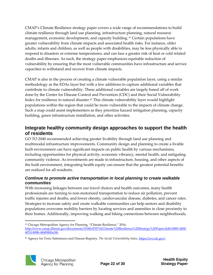CMAP's Climate Resilience strategy paper covers a wide range of recommendations to build climate resilience through land use planning, infrastructure planning, natural resource management, economic development, and capacity building. <sup>41</sup> Certain populations have greater vulnerability from climate impacts and associated health risks. For instance, older adults, infants and children, as well as people with disabilities, may be less physically able to respond to disasters or extreme temperatures, and can face a greater risk of heat or cold related deaths and illnesses. As such, the strategy paper emphasizes equitable reduction of vulnerability by ensuring that the most vulnerable communities have infrastructure and service capacities to withstand and recover from climate impacts.

CMAP is also in the process of creating a climate vulnerable population layer, using a similar methodology as the EDAs layer but with a few additions to capture additional variables that contribute to climate vulnerability. These additional variables are largely based off of work done by the Center for Disease Control and Prevention (CDC) and their Social Vulnerability Index for resilience to natural disaster.<sup>42</sup> This climate vulnerability layer would highlight populations within the region that could be more vulnerable to the impacts of climate change. Such a map could assist implementers as they prioritize hazard mitigation planning, capacity building, green infrastructure installation, and other activities.

#### **Integrate healthy community design approaches to support the health of residents**

GO TO 2040 recommended achieving greater livability through land use planning and multimodal infrastructure improvements. Community design and planning to create a livable built environment can have significant impacts on public health by various mechanisms, including opportunities for physical activity, economic vibrancy, mental health, and mitigating community violence. As investments are made in infrastructure, housing, and other aspects of the built environment, integrating health equity can ensure that the greatest potential benefits are realized for all residents.

#### *Continue to promote active transportation in local planning to create walkable communities*

With increasing linkages between our travel choices and health outcomes, many health professionals are turning to non-motorized transportation to reduce air pollution, prevent traffic injuries and deaths, and lower obesity, cardiovascular disease, diabetes, and cancer rates. Strategies to increase safety and create walkable communities can help seniors and disability populations overcome mobility barriers by locating services and amenities in close proximity to their homes. Additionally, improving walking and biking connections between neighborhoods,

<sup>42</sup> Agency for Toxic Substances and Disease Registry, *The Social Vulnerability Index*[, https://svi.cdc.gov/.](https://svi.cdc.gov/) 



 $\overline{a}$ <sup>41</sup> Chicago Metropolitan Agency for Planning, "Climate Resilience," 2016,

[http://www.cmap.illinois.gov/documents/10180/470714/Climate%20Resilience%20Strategy%20Paper/dd610883-d00f-](http://www.cmap.illinois.gov/documents/10180/470714/Climate%20Resilience%20Strategy%20Paper/dd610883-d00f-407d-808b-484f9800a3f6)[407d-808b-484f9800a3f6.](http://www.cmap.illinois.gov/documents/10180/470714/Climate%20Resilience%20Strategy%20Paper/dd610883-d00f-407d-808b-484f9800a3f6)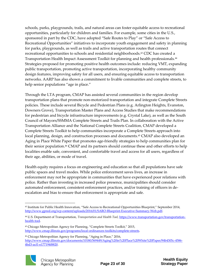schools, parks, playgrounds, trails, and natural areas can foster equitable access to recreational opportunities, particularly for children and families. For example, some cities in the U.S., sponsored in part by the CDC, have adopted "Safe Routes to Play" or "Safe Access to Recreational Opportunities" initiatives to incorporate youth engagement and safety in planning for parks, playgrounds, as well as trails and active transportation routes that connect recreational opportunities to schools and residential neighborhoods.<sup>43</sup> CDC has created a Transportation Health Impact Assessment Toolkit for planning and health professionals.<sup>44</sup> Strategies proposed for promoting positive health outcomes include: reducing VMT, expanding public transportation, promoting active transportation, incorporating healthy community design features, improving safety for all users, and ensuring equitable access to transportation networks. AARP has also shown a commitment to livable communities and complete streets, to help senior populations "age in place."

Through the LTA program, CMAP has assisted several communities in the region develop transportation plans that promote non-motorized transportation and integrate Complete Streets policies. These include several Bicycle and Pedestrian Plans (e.g. Arlington Heights, Evanston, Downers Grove), Transportation Master Plans and Access Studies that make recommendations for pedestrian and bicycle infrastructure improvements (e.g. Crystal Lake), as well as the South Council of Mayors/SSMMA Complete Streets and Trails Plan. In collaboration with the Active Transportation Alliance and the National Complete Streets Coalition, CMAP developed a Complete Streets Toolkit to help communities incorporate a Complete Streets approach into local planning, design, and construction processes and documents.<sup>45</sup> CMAP also developed an Aging in Place White Paper that promotes age-friendly strategies to help communities plan for their senior population.<sup>46</sup> CMAP and its partners should continue these and other efforts to help localities enable safe, convenient, and comfortable travel and access for all users, regardless of their age, abilities, or mode of travel.

Health equity requires a focus on engineering and education so that all populations have safe public spaces and travel modes. While police enforcement saves lives, an increase in enforcement may not be appropriate in communities that have experienced poor relations with police. Rather than investing in increased police presence, municipalities should consider automated enforcement, consistent enforcement practices, and/or training of officers in deescalation and bias to ensure that enforcement is appropriate and safe.

<sup>46</sup> Chicago Metropolitan Agency for Planning, "Aging in Place," 2016, [http://www.cmap.illinois.gov/documents/10180/569449/Aging%20in%20Place%20White%20Paper/94b4305c-4586-](http://www.cmap.illinois.gov/documents/10180/569449/Aging%20in%20Place%20White%20Paper/94b4305c-4586-4bd3-acf1-e177194f8820) [4bd3-acf1-e177194f8820.](http://www.cmap.illinois.gov/documents/10180/569449/Aging%20in%20Place%20White%20Paper/94b4305c-4586-4bd3-acf1-e177194f8820)



<sup>1</sup> <sup>43</sup> Institute for Public Health Innovation, "Safe Access to Recreational Opportunities Blueprint," September 2014, [http://www.gpred.org/wp-content/uploads/2016/01/SARO-Blueprint-Executive-Summary-Web.pdf.](http://www.gpred.org/wp-content/uploads/2016/01/SARO-Blueprint-Executive-Summary-Web.pdf)

<sup>44</sup> U.S. Department of Transportation, *Transportation and Health Tool,* [https://www.transportation.gov/transportation](https://www.transportation.gov/transportation-health-tool)[health-tool.](https://www.transportation.gov/transportation-health-tool)

<sup>45</sup> Chicago Metropolitan Agency for Planning, "Complete Streets Toolkit," 2015, [http://www.cmap.illinois.gov/programs/local-ordinances-toolkits/complete-streets.](http://www.cmap.illinois.gov/programs/local-ordinances-toolkits/complete-streets)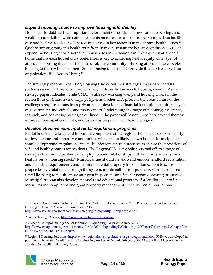#### *Expand housing choice to improve housing affordability*

Housing affordability is an important determinant of health. It allows for better savings and wealth accumulation, which offers residents more resources to access services such as health care and healthy food, as well as reduced stress, a key factor in many chronic health issues.<sup>47</sup> Quality housing mitigates health risks from living in unsanitary housing conditions. As such, expanding housing choice so that all households in the region can find a quality affordable home that fits each household's preferences is key to achieving health equity. One layer of affordable housing that is pertinent to disability community is linking affordable, accessible housing to those who need them. Some housing departments provide this service, as well as organizations like Access Living.<sup>48</sup>

The strategy paper on Expanding Housing Choice outlines strategies that CMAP and its partners can undertake to comprehensively address the barriers to housing choice.<sup>49</sup> As the strategy paper indicates, while CMAP is already working to expand housing choice in the region through *Homes for a Changing Region* and other LTA projects, the broad nature of the challenges require actions from private sector developers, financial institutions, multiple levels of government, individuals, and many others. Undertaking the range of planning, assistance, research, and convening strategies outlined in the paper will lessen those barriers and thereby improve housing affordability, and by extension public health, in the region.

#### *Develop effective municipal rental regulations programs*

Rental housing is a large and important component of the region's housing stock, particularly for low-income and minority communities who are less likely to own homes. Municipalities should adopt rental regulations and code enforcement best practices to ensure the provisions of safe and healthy homes for residents. The Regional Housing Solutions tool offers a range of strategies that municipalities can employ to build relationships with landlords and ensure a healthy rental housing stock.<sup>50</sup> Municipalities should develop and enforce landlord registration and licensing requirements, and maintain a rental property information system to score properties by violations. Through the system, municipalities can pursue performance-based rental licensing to require more stringent inspections and fees for negative scoring properties. Municipalities can also develop manuals and educational programs for landlords, or offer incentives for compliance and good property management. Effective rental regulations

<sup>50</sup> Regional Housing Solutions[. https://www.regionalhousingsolutions.org/strategy/regulation.](https://www.regionalhousingsolutions.org/strategy/regulation) RHS was developed in partnership between CMAP, Institute for Housing Studies at DePaul University, the Metropolitan Mayors Caucus, and the Metropolitan Planning Council.



 $\overline{a}$ <sup>47</sup> Enterprise Community Partners, Inc. and The Center for Housing Policy, "The Positive Impacts of Affordable Housing on Health: A Research Summary," 2007,

[http://www.housingpartners.com/assets/creating\\_change/http\\_\\_\\_app.bronto.pdf.](http://www.housingpartners.com/assets/creating_change/http___app.bronto.pdf)

<sup>48</sup> Access Living, *Housing*[, https://www.accessliving.org/housing.](https://www.accessliving.org/housing)

<sup>49</sup> Chicago Metropolitan Agency for Planning, "Expanding Housing Choice," 2017, [http://www.cmap.illinois.gov/documents/10180/470714/Expanding%20Housing%20Choice%20strategy%20paper/dbf](http://www.cmap.illinois.gov/documents/10180/470714/Expanding%20Housing%20Choice%20strategy%20paper/dbfeddfe-a977-4408-b6b0-e81f0f158039) [eddfe-a977-4408-b6b0-e81f0f158039.](http://www.cmap.illinois.gov/documents/10180/470714/Expanding%20Housing%20Choice%20strategy%20paper/dbfeddfe-a977-4408-b6b0-e81f0f158039)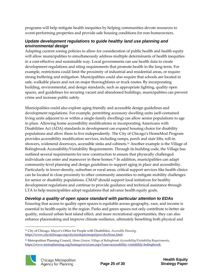programs will help mitigate health inequities by helping communities devote resources to worst-performing properties and provide safe housing conditions for non-homeowners.

#### *Update development regulations to guide healthy land use planning and environmental design*

Adapting current zoning policies to allow for consideration of public health and health equity will allow municipalities to simultaneously address multiple determinants of health inequities in a cost-effective and sustainable way. Local governments can use health data to create development regulations and siting requirements that promote health in the long-term. For example, restrictions could limit the proximity of industrial and residential areas, or require strong buffering and mitigation. Municipalities could also require that schools are located in safe, walkable places and not on major thoroughfares or truck routes. By incorporating building, environmental, and design standards, such as appropriate lighting, quality open spaces, and guidelines for securing vacant and abandoned buildings, municipalities can prevent crime and increase public safety.

Municipalities could also explore aging friendly and accessible design guidelines and development regulations. For example, permitting accessory dwelling units (self-contained living units adjacent to or within a single-family dwelling) can allow senior populations to age in place. Allowing home accessibility modifications or incorporating Americans with Disabilities Act (ADA) standards in development can expand housing choice for disability populations and allow them to live independently. The City of Chicago's HomeMod Program provides accessibility modification services, including ramps, porch and stair lifts, roll-in showers, widenend doorways, accessible sinks and cabinets.<sup>51</sup> Another example is the Village of Bolingbrook Accessibility/Visitability Requirements. Through its building code, the Village has outlined several requirements for new construction to ensure that physically challenged individuals can enter and maneuver in these homes.<sup>52</sup> In addition, municipalities can adapt community-level planning and design guidelines to support aging in place and accessibility. Particularly in lower-density, suburban or rural areas, critical support services like health clinics can be located in close proximity to other community amenities to mitigate mobility challenges for senior or disability populations. CMAP should support local initiatives for healthy development regulations and continue to provide guidance and technical assistance through LTA to help municipalities adopt regulations that advance health equity goals.

#### *Develop a quality of open space standard with particular attention to EDAs*

Ensuring that access to quality open spaces is equitable across geography, race, and income is essential to health equity in the region. Parks and green spaces not only contribute to better air quality, reduced urban heat island effect, and more recreational opportunities, they can also enhance placemaking and improve climate resilience, ultimately benefiting both physical and

<sup>52</sup> Metropolitan Planning Council, *Home Grown: Village of Bolingbrook Accessibility/Visitability Requirements*, [https://www.metroplanning.org/homegrown/case.aspx?case=accessibility-visitability-bolingbrook.](https://www.metroplanning.org/homegrown/case.aspx?case=accessibility-visitability-bolingbrook)



 $\overline{a}$ <sup>51</sup> City of Chicago, Mayor's Office for People with Disabilities, *Accessible Housing,*  [https://www.cityofchicago.org/city/en/depts/mopd/provdrs/hous.html.](https://www.cityofchicago.org/city/en/depts/mopd/provdrs/hous.html)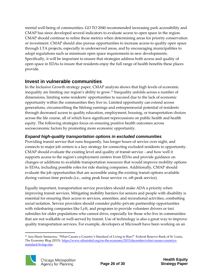mental well-being of communities. GO TO 2040 recommended increasing park accessibility and CMAP has since developed several indicators to evaluate access to open space in the region. CMAP should continue to refine these metrics when determining areas for priority conservation or investment. CMAP should also pursue opportunities to increase access to quality open space through LTA projects, especially in underserved areas, and by encouraging municipalities to adopt regulations such as minimum open space requirements in new developments. Specifically, it will be important to ensure that strategies address both access and quality of open space in EDAs to insure that residents enjoy the full range of health benefits these places provide.

#### **Invest in vulnerable communities**

In the Inclusive Growth strategy paper, CMAP analysis shows that high levels of economic inequality are limiting our region's ability to grow.<sup>53</sup> Inequality unfolds across a number of dimensions, limiting some residents' opportunities to succeed due to the lack of economic opportunity within the communities they live in. Limited opportunity can extend across generations, circumscribing the lifelong earnings and entrepreneurial potential of residents through decreased access to quality education, employment, housing, or transportation choices across the life course, all of which have significant repercussions on public health and health equity. The following strategies focus on ensuring positive health outcomes across socioeconomic factors by promoting more economic opportunity.

#### *Expand high-quality transportation options in excluded communities*

Providing transit service that runs frequently, has longer hours of service over night, and connects to major job centers is a key strategy for connecting excluded residents to opportunity. CMAP should evaluate the existing level and quality of transit service - and how well it supports access to the region's employment centers from EDAs and provide guidance on changes or additions to available transportation resources that would improve mobility options in EDAs, including possible roles for ride sharing companies. Additionally, CMAP should evaluate the job opportunities that are accessible using the existing transit options available during various time periods (i.e., using peak hour service vs. off-peak service).

Equally important, transportation service providers should make ADA a priority when improving transit services. Mitigating mobility barriers for seniors and people with disability is essential for ensuring their access to services, amenities, and recreational activities, combatting social isolation. Service providers should consider public-private partnership opportunities with ridesharing companies like Lyft, and programs to provide volunteer drivers or taxi subsidies for older populations who cannot drive, especially for those who live in communities that are not walkable or well-served by transit. Use of technology is also a great way to improve quality transportation services. For example, developers at Microsoft have been working on an

<sup>1</sup> 53 Ana Marie Santacreu, "What Causes a Country's Standard of Living to Rise?" Federal Reserve Bank of St. Louis, The Economy Blog (2015). [https://www.stlouisfed.org/on-the-economy/2015/december/what-causes-countrys](https://www.stlouisfed.org/on-the-economy/2015/december/what-causes-countrys-standard-living-rise)[standard-living-rise.](https://www.stlouisfed.org/on-the-economy/2015/december/what-causes-countrys-standard-living-rise)

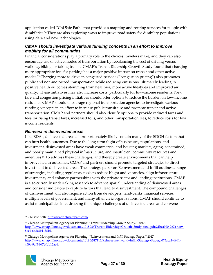application called "Chi Safe Path" that provides a mapping and routing services for people with disabilities.<sup>54</sup> They are also exploring ways to improve road safety for disability populations using data and new technologies.

#### *CMAP should investigate various funding concepts in an effort to improve mobility for all communities*

Financial considerations play a primary role in the choices travelers make, and they can also encourage use of active modes of transportation by rebalancing the cost of driving versus walking, biking, or taking transit. CMAP's Transit Ridership Growth Study [found](http://www.cmap.illinois.gov/documents/10180/0/Transit+Ridership+Growth+Study_final.pdf/21bca990-9e7a-4af9-8ec1-6b8c8b11fd16) that charging more appropriate fees for parking has a major positive impact on transit and other active modes.<sup>55</sup> Charging more to drive in congested periods ("congestion pricing") also promotes public and non-motorized transportation while reducing emissions, ultimately leading to positive health outcomes stemming from healthier, more active lifestyles and improved air quality. These initiatives may also increase costs, particularly for low-income residents. New fare and congestion pricing initiatives should offer options to reduce the burden on low-income residents. CMAP should encourage regional transportation agencies to investigate various funding concepts in an effort to increase public transit use and promote transit and active transportation. CMAP and partners should also identify options to provide reduced fares and fees for rising transit fares, increased tolls, and other transportation fees, to reduce costs for low income residents.

#### *Reinvest in disinvested areas*

Like EDAs, disinvested areas disproportionately likely contain many of the SDOH factors that can hurt health outcomes. Due to the long-term flight of businesses, populations, and investment, disinvested areas have weak commercial and housing markets; aging, constrained, and poorly maintained physical infrastructure; and insufficient community resources and amenities.<sup>56</sup> To address these challenges, and thereby create environments that can help improve health outcomes, CMAP and partners should promote targeted strategies to direct investment to disinvested areas. The strategy paper on Reinvestment and Infill outlines a range of strategies, including regulatory tools to reduce blight and vacancies, align infrastructure investments, and enhance partnerships with the private sector and lending institutions. CMAP is also currently undertaking research to advance spatial understanding of disinvested areas and consider indicators to capture factors that lead to disinvestment. The compound challenges of disinvestment will also require action from developers, land-banks, financial services, multiple levels of government, and many other civic organizations. CMAP should continue to assist municipalities in addressing the unique challenges of disinvested areas and convene

<sup>56</sup> Chicago Metropolitan Agency for Planning, "Reinvestment and Infill Strategy Paper," 2017 [http://www.cmap.illinois.gov/documents/10180/517111/Reinvestment+and+Infill+Strategy+Paper/f075aca4-49d1-](http://www.cmap.illinois.gov/documents/10180/517111/Reinvestment+and+Infill+Strategy+Paper/f075aca4-49d1-450a-9af5-097bfdb12ac4) [450a-9af5-097bfdb12ac4.](http://www.cmap.illinois.gov/documents/10180/517111/Reinvestment+and+Infill+Strategy+Paper/f075aca4-49d1-450a-9af5-097bfdb12ac4)



1

<sup>&</sup>lt;sup>54</sup> Chi safe path[, http://www.chisafepath.com/.](http://www.chisafepath.com/)

<sup>55</sup> Chicago Metropolitan Agency for Planning, "Transit Ridership Growth Study," 2017, [http://www.cmap.illinois.gov/documents/10180/0/Transit+Ridership+Growth+Study\\_final.pdf/21bca990-9e7a-4af9-](http://www.cmap.illinois.gov/documents/10180/0/Transit+Ridership+Growth+Study_final.pdf/21bca990-9e7a-4af9-8ec1-6b8c8b11fd16) [8ec1-6b8c8b11fd16.](http://www.cmap.illinois.gov/documents/10180/0/Transit+Ridership+Growth+Study_final.pdf/21bca990-9e7a-4af9-8ec1-6b8c8b11fd16)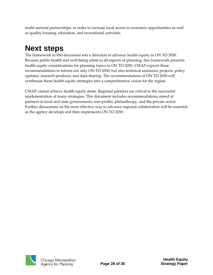multi-sectoral partnerships, in order to increase local access to economic opportunities as well as quality housing, education, and recreational activities.

# <span id="page-28-0"></span>**Next steps**

The framework in this document sets a direction to advance health equity in ON TO 2050. Because public health and well-being relate to all aspects of planning, this framework presents health equity considerations for planning topics in ON TO 2050. CMAP expects these recommendations to inform not only ON TO 2050, but also technical assistance projects, policy updates, research products, and data sharing. The recommendations of ON TO 2050 will synthesize these health equity strategies into a comprehensive vision for the region.

CMAP cannot achieve health equity alone. Regional partners are critical to the successful implementation of many strategies. This document includes recommendations aimed at partners in local and state governments, non-profits, philanthropy, and the private sector. Further discussions on the most effective way to advance regional collaboration will be essential as the agency develops and then implements ON TO 2050.

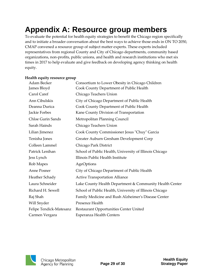### <span id="page-29-0"></span>**Appendix A: Resource group members**

To evaluate the potential for health equity strategies to benefit the Chicago region specifically and to initiate a broader conversation about the best ways to achieve those ends in ON TO 2050, CMAP convened a resource group of subject matter experts. These experts included representatives from regional County and City of Chicago departments, community based organizations, non-profits, public unions, and health and research institutions who met six times in 2017 to help evaluate and give feedback on developing agency thinking on health equity.

#### **Health equity resource group**

| Adam Becker              | Consortium to Lower Obesity in Chicago Children         |
|--------------------------|---------------------------------------------------------|
| James Bloyd              | Cook County Department of Public Health                 |
| Carol Caref              | Chicago Teachers Union                                  |
| Ann Cibulskis            | City of Chicago Department of Public Health             |
| Deanna Durica            | Cook County Department of Public Health                 |
| Jackie Forbes            | Kane County Division of Transportation                  |
| <b>Chloe Gurin Sands</b> | Metropolitan Planning Council                           |
| Sarah Hainds             | Chicago Teachers Union                                  |
| Lilian Jimenez           | Cook County Commissioner Jesus "Chuy" Garcia            |
| Tenisha Jones            | Greater Auburn Gresham Development Corp                 |
| Colleen Lammel           | Chicago Park District                                   |
| Patrick Lenihan          | School of Public Health, University of Illinois Chicago |
| Jess Lynch               | Illinois Public Health Institute                        |
| Rob Mapes                | AgeOptions                                              |
| Anne Posner              | City of Chicago Department of Public Health             |
| Heather Schady           | <b>Active Transportation Alliance</b>                   |
| Laura Schneider          | Lake County Health Department & Community Health Center |
| Richard H. Sewell        | School of Public Health, University of Illinois Chicago |
| Raj Shah                 | Family Medicine and Rush Alzheimer's Disease Center     |
| Will Snyder              | Presence Health                                         |
| Felipe Tendick-Matesanz  | Restaurant Opportunities Center United                  |
| Carmen Vergara           | <b>Esperanza Health Centers</b>                         |

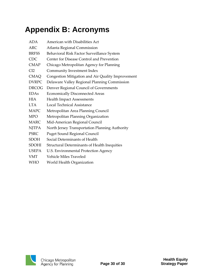# <span id="page-30-0"></span>**Appendix B: Acronyms**

| <b>ADA</b>   | American with Disabilities Act                      |
|--------------|-----------------------------------------------------|
| ARC          | Atlanta Regional Commission                         |
| <b>BRFSS</b> | Behavioral Risk Factor Surveillance System          |
| <b>CDC</b>   | Center for Disease Control and Prevention           |
| <b>CMAP</b>  | Chicago Metropolitan Agency for Planning            |
| CI2          | Community Investment Index                          |
| <b>CMAQ</b>  | Congestion Mitigation and Air Quality Improvement   |
| <b>DVRPC</b> | Delaware Valley Regional Planning Commission        |
| <b>DRCOG</b> | Denver Regional Council of Governments              |
| <b>EDAs</b>  | <b>Economically Disconnected Areas</b>              |
| <b>HIA</b>   | <b>Health Impact Assessments</b>                    |
| <b>LTA</b>   | Local Technical Assistance                          |
| <b>MAPC</b>  | Metropolitan Area Planning Council                  |
| <b>MPO</b>   | Metropolitan Planning Organization                  |
| <b>MARC</b>  | Mid-American Regional Council                       |
| <b>NJTPA</b> | North Jersey Transportation Planning Authority      |
| <b>PSRC</b>  | <b>Puget Sound Regional Council</b>                 |
| <b>SDOH</b>  | Social Determinants of Health                       |
| <b>SDOHI</b> | <b>Structural Determinants of Health Inequities</b> |
| <b>USEPA</b> | U.S. Environmental Protection Agency                |
| <b>VMT</b>   | <b>Vehicle Miles Traveled</b>                       |
| <b>WHO</b>   | World Health Organization                           |